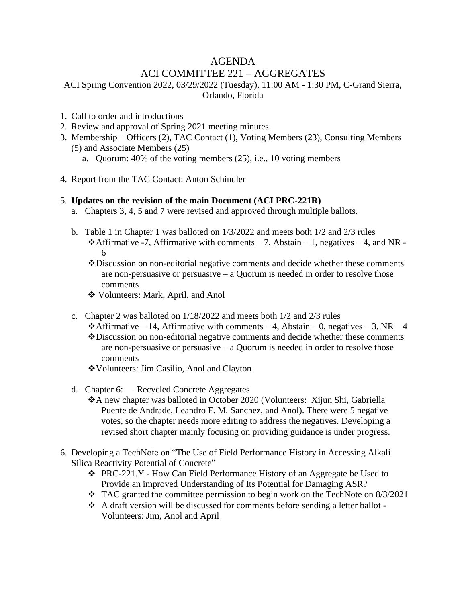## AGENDA

# ACI COMMITTEE 221 – AGGREGATES

ACI Spring Convention 2022, 03/29/2022 (Tuesday), 11:00 AM - 1:30 PM, C-Grand Sierra, Orlando, Florida

- 1. Call to order and introductions
- 2. Review and approval of Spring 2021 meeting minutes.
- 3. Membership Officers (2), TAC Contact (1), Voting Members (23), Consulting Members (5) and Associate Members (25)
	- a. Quorum: 40% of the voting members (25), i.e., 10 voting members
- 4. Report from the TAC Contact: Anton Schindler

#### 5. **Updates on the revision of the main Document (ACI PRC-221R)**

- a. Chapters 3, 4, 5 and 7 were revised and approved through multiple ballots.
- b. Table 1 in Chapter 1 was balloted on 1/3/2022 and meets both 1/2 and 2/3 rules  $\triangle$ **Affirmative -7, Affirmative with comments – 7, Abstain – 1, negatives – 4, and NR -**6
	- ❖Discussion on non-editorial negative comments and decide whether these comments are non-persuasive or persuasive – a Quorum is needed in order to resolve those comments
	- ❖ Volunteers: Mark, April, and Anol
- c. Chapter 2 was balloted on 1/18/2022 and meets both 1/2 and 2/3 rules
	- ◆Affirmative 14, Affirmative with comments 4, Abstain 0, negatives 3, NR 4 ❖Discussion on non-editorial negative comments and decide whether these comments are non-persuasive or persuasive – a Quorum is needed in order to resolve those comments
	- ❖Volunteers: Jim Casilio, Anol and Clayton
- d. Chapter 6: Recycled Concrete Aggregates
	- ❖A new chapter was balloted in October 2020 (Volunteers: Xijun Shi, Gabriella Puente de Andrade, Leandro F. M. Sanchez, and Anol). There were 5 negative votes, so the chapter needs more editing to address the negatives. Developing a revised short chapter mainly focusing on providing guidance is under progress.
- 6. Developing a TechNote on "The Use of Field Performance History in Accessing Alkali Silica Reactivity Potential of Concrete"
	- ❖ PRC-221.Y How Can Field Performance History of an Aggregate be Used to Provide an improved Understanding of Its Potential for Damaging ASR?
	- $\cdot$  TAC granted the committee permission to begin work on the TechNote on 8/3/2021
	- ❖ A draft version will be discussed for comments before sending a letter ballot Volunteers: Jim, Anol and April